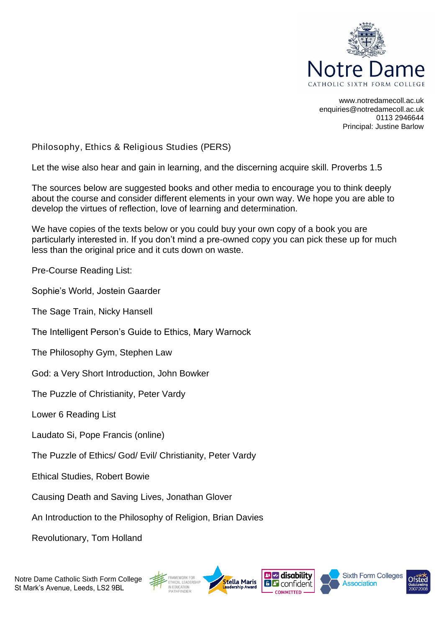

www.notredamecoll.ac.uk enquiries@notredamecoll.ac.uk 0113 2946644 Principal: Justine Barlow

Philosophy, Ethics & Religious Studies (PERS)

Let the wise also hear and gain in learning, and the discerning acquire skill. Proverbs 1.5

The sources below are suggested books and other media to encourage you to think deeply about the course and consider different elements in your own way. We hope you are able to develop the virtues of reflection, love of learning and determination.

We have copies of the texts below or you could buy your own copy of a book you are particularly interested in. If you don't mind a pre-owned copy you can pick these up for much less than the original price and it cuts down on waste.

Pre-Course Reading List:

Sophie's World, Jostein Gaarder

The Sage Train, Nicky Hansell

The Intelligent Person's Guide to Ethics, Mary Warnock

The Philosophy Gym, Stephen Law

God: a Very Short Introduction, John Bowker

The Puzzle of Christianity, Peter Vardy

Lower 6 Reading List

Laudato Si, Pope Francis (online)

The Puzzle of Ethics/ God/ Evil/ Christianity, Peter Vardy

Ethical Studies, Robert Bowie

Causing Death and Saving Lives, Jonathan Glover

An Introduction to the Philosophy of Religion, Brian Davies

Revolutionary, Tom Holland